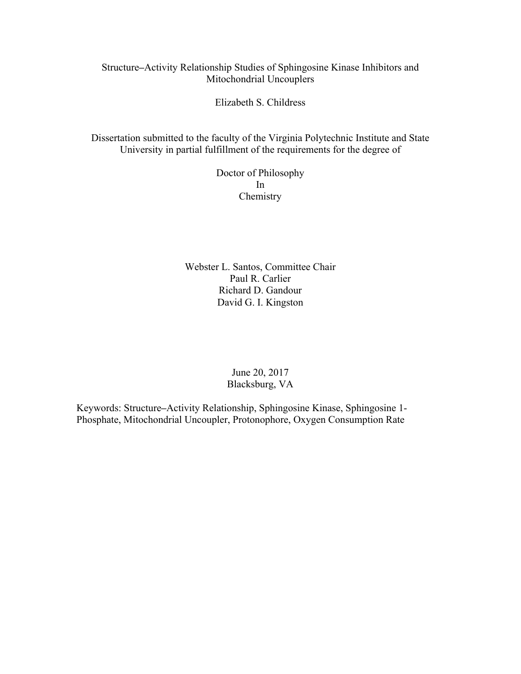#### Structure**–**Activity Relationship Studies of Sphingosine Kinase Inhibitors and Mitochondrial Uncouplers

Elizabeth S. Childress

Dissertation submitted to the faculty of the Virginia Polytechnic Institute and State University in partial fulfillment of the requirements for the degree of

> Doctor of Philosophy In Chemistry

Webster L. Santos, Committee Chair Paul R. Carlier Richard D. Gandour David G. I. Kingston

> June 20, 2017 Blacksburg, VA

Keywords: Structure**–**Activity Relationship, Sphingosine Kinase, Sphingosine 1- Phosphate, Mitochondrial Uncoupler, Protonophore, Oxygen Consumption Rate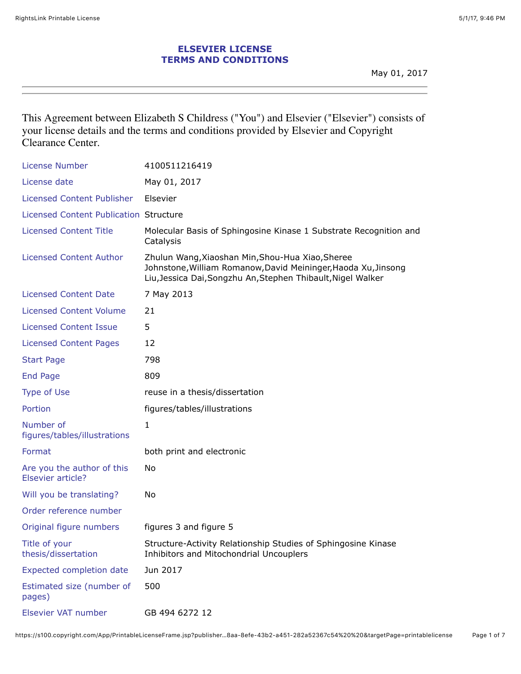#### **ELSEVIER LICENSE TERMS AND CONDITIONS**

May 01, 2017

This Agreement between Elizabeth S Childress ("You") and Elsevier ("Elsevier") consists of your license details and the terms and conditions provided by Elsevier and Copyright Clearance Center.

| License Number                                  | 4100511216419                                                                                                                                                                      |
|-------------------------------------------------|------------------------------------------------------------------------------------------------------------------------------------------------------------------------------------|
| License date                                    | May 01, 2017                                                                                                                                                                       |
| <b>Licensed Content Publisher</b>               | Elsevier                                                                                                                                                                           |
| <b>Licensed Content Publication Structure</b>   |                                                                                                                                                                                    |
| <b>Licensed Content Title</b>                   | Molecular Basis of Sphingosine Kinase 1 Substrate Recognition and<br>Catalysis                                                                                                     |
| <b>Licensed Content Author</b>                  | Zhulun Wang, Xiaoshan Min, Shou-Hua Xiao, Sheree<br>Johnstone, William Romanow, David Meininger, Haoda Xu, Jinsong<br>Liu, Jessica Dai, Songzhu An, Stephen Thibault, Nigel Walker |
| <b>Licensed Content Date</b>                    | 7 May 2013                                                                                                                                                                         |
| <b>Licensed Content Volume</b>                  | 21                                                                                                                                                                                 |
| <b>Licensed Content Issue</b>                   | 5                                                                                                                                                                                  |
| <b>Licensed Content Pages</b>                   | 12                                                                                                                                                                                 |
| <b>Start Page</b>                               | 798                                                                                                                                                                                |
| <b>End Page</b>                                 | 809                                                                                                                                                                                |
| <b>Type of Use</b>                              | reuse in a thesis/dissertation                                                                                                                                                     |
| Portion                                         | figures/tables/illustrations                                                                                                                                                       |
| Number of<br>figures/tables/illustrations       | 1                                                                                                                                                                                  |
| Format                                          | both print and electronic                                                                                                                                                          |
| Are you the author of this<br>Elsevier article? | No                                                                                                                                                                                 |
| Will you be translating?                        | No                                                                                                                                                                                 |
| Order reference number                          |                                                                                                                                                                                    |
| Original figure numbers                         | figures 3 and figure 5                                                                                                                                                             |
| Title of your<br>thesis/dissertation            | Structure-Activity Relationship Studies of Sphingosine Kinase<br>Inhibitors and Mitochondrial Uncouplers                                                                           |
| <b>Expected completion date</b>                 | Jun 2017                                                                                                                                                                           |
| Estimated size (number of<br>pages)             | 500                                                                                                                                                                                |
| Elsevier VAT number                             | GB 494 6272 12                                                                                                                                                                     |

https://s100.copyright.com/App/PrintableLicenseFrame.jsp?publisher…8aa-8efe-43b2-a451-282a52367c54%20%20&targetPage=printablelicense Page 1 of 7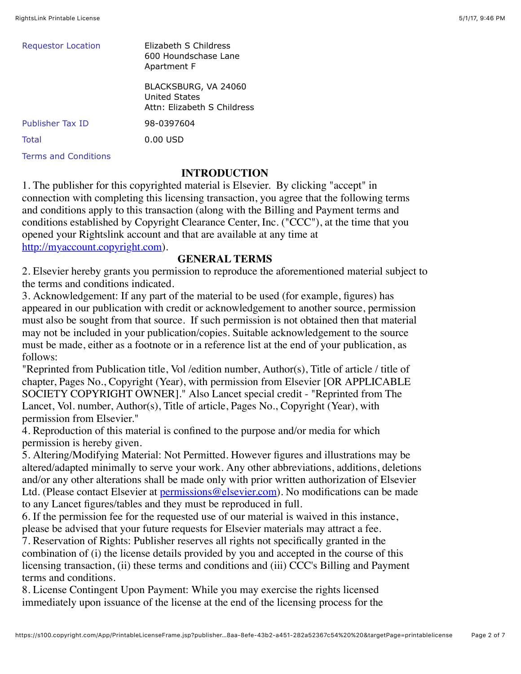| <b>Requestor Location</b>   | Elizabeth S Childress<br>600 Houndschase Lane<br>Apartment F         |
|-----------------------------|----------------------------------------------------------------------|
|                             | BLACKSBURG, VA 24060<br>United States<br>Attn: Elizabeth S Childress |
| Publisher Tax ID            | 98-0397604                                                           |
| <b>Total</b>                | $0.00$ USD                                                           |
| <b>Terms and Conditions</b> |                                                                      |

**INTRODUCTION**

1. The publisher for this copyrighted material is Elsevier. By clicking "accept" in connection with completing this licensing transaction, you agree that the following terms and conditions apply to this transaction (along with the Billing and Payment terms and conditions established by Copyright Clearance Center, Inc. ("CCC"), at the time that you opened your Rightslink account and that are available at any time at [http://myaccount.copyright.com](http://myaccount.copyright.com/)).

#### **GENERAL TERMS**

2. Elsevier hereby grants you permission to reproduce the aforementioned material subject to the terms and conditions indicated.

3. Acknowledgement: If any part of the material to be used (for example, figures) has appeared in our publication with credit or acknowledgement to another source, permission must also be sought from that source. If such permission is not obtained then that material may not be included in your publication/copies. Suitable acknowledgement to the source must be made, either as a footnote or in a reference list at the end of your publication, as follows:

"Reprinted from Publication title, Vol /edition number, Author(s), Title of article / title of chapter, Pages No., Copyright (Year), with permission from Elsevier [OR APPLICABLE SOCIETY COPYRIGHT OWNER]." Also Lancet special credit - "Reprinted from The Lancet, Vol. number, Author(s), Title of article, Pages No., Copyright (Year), with permission from Elsevier."

4. Reproduction of this material is confined to the purpose and/or media for which permission is hereby given.

5. Altering/Modifying Material: Not Permitted. However figures and illustrations may be altered/adapted minimally to serve your work. Any other abbreviations, additions, deletions and/or any other alterations shall be made only with prior written authorization of Elsevier Ltd. (Please contact Elsevier at [permissions@elsevier.com](mailto:permissions@elsevier.com)). No modifications can be made to any Lancet figures/tables and they must be reproduced in full.

6. If the permission fee for the requested use of our material is waived in this instance, please be advised that your future requests for Elsevier materials may attract a fee.

7. Reservation of Rights: Publisher reserves all rights not specifically granted in the combination of (i) the license details provided by you and accepted in the course of this licensing transaction, (ii) these terms and conditions and (iii) CCC's Billing and Payment terms and conditions.

8. License Contingent Upon Payment: While you may exercise the rights licensed immediately upon issuance of the license at the end of the licensing process for the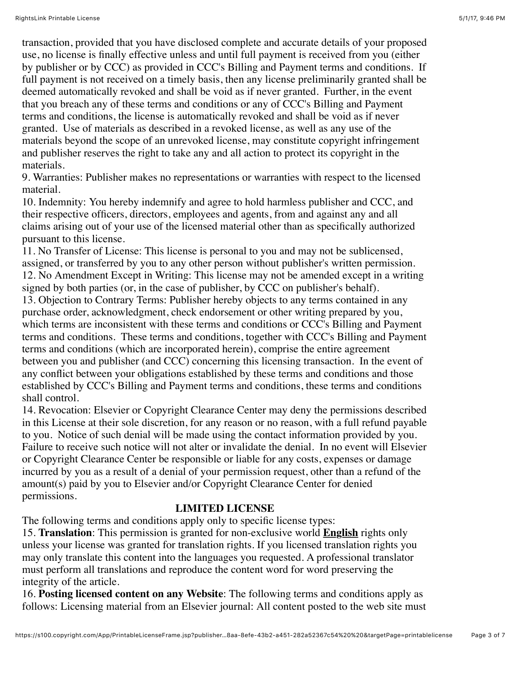transaction, provided that you have disclosed complete and accurate details of your proposed use, no license is finally effective unless and until full payment is received from you (either by publisher or by CCC) as provided in CCC's Billing and Payment terms and conditions. If full payment is not received on a timely basis, then any license preliminarily granted shall be deemed automatically revoked and shall be void as if never granted. Further, in the event that you breach any of these terms and conditions or any of CCC's Billing and Payment terms and conditions, the license is automatically revoked and shall be void as if never granted. Use of materials as described in a revoked license, as well as any use of the materials beyond the scope of an unrevoked license, may constitute copyright infringement and publisher reserves the right to take any and all action to protect its copyright in the materials.

9. Warranties: Publisher makes no representations or warranties with respect to the licensed material.

10. Indemnity: You hereby indemnify and agree to hold harmless publisher and CCC, and their respective officers, directors, employees and agents, from and against any and all claims arising out of your use of the licensed material other than as specifically authorized pursuant to this license.

11. No Transfer of License: This license is personal to you and may not be sublicensed, assigned, or transferred by you to any other person without publisher's written permission. 12. No Amendment Except in Writing: This license may not be amended except in a writing signed by both parties (or, in the case of publisher, by CCC on publisher's behalf).

13. Objection to Contrary Terms: Publisher hereby objects to any terms contained in any purchase order, acknowledgment, check endorsement or other writing prepared by you, which terms are inconsistent with these terms and conditions or CCC's Billing and Payment terms and conditions. These terms and conditions, together with CCC's Billing and Payment terms and conditions (which are incorporated herein), comprise the entire agreement between you and publisher (and CCC) concerning this licensing transaction. In the event of any conflict between your obligations established by these terms and conditions and those established by CCC's Billing and Payment terms and conditions, these terms and conditions shall control.

14. Revocation: Elsevier or Copyright Clearance Center may deny the permissions described in this License at their sole discretion, for any reason or no reason, with a full refund payable to you. Notice of such denial will be made using the contact information provided by you. Failure to receive such notice will not alter or invalidate the denial. In no event will Elsevier or Copyright Clearance Center be responsible or liable for any costs, expenses or damage incurred by you as a result of a denial of your permission request, other than a refund of the amount(s) paid by you to Elsevier and/or Copyright Clearance Center for denied permissions.

# **LIMITED LICENSE**

The following terms and conditions apply only to specific license types:

15. **Translation**: This permission is granted for non-exclusive world **English** rights only unless your license was granted for translation rights. If you licensed translation rights you may only translate this content into the languages you requested. A professional translator must perform all translations and reproduce the content word for word preserving the integrity of the article.

16. **Posting licensed content on any Website**: The following terms and conditions apply as follows: Licensing material from an Elsevier journal: All content posted to the web site must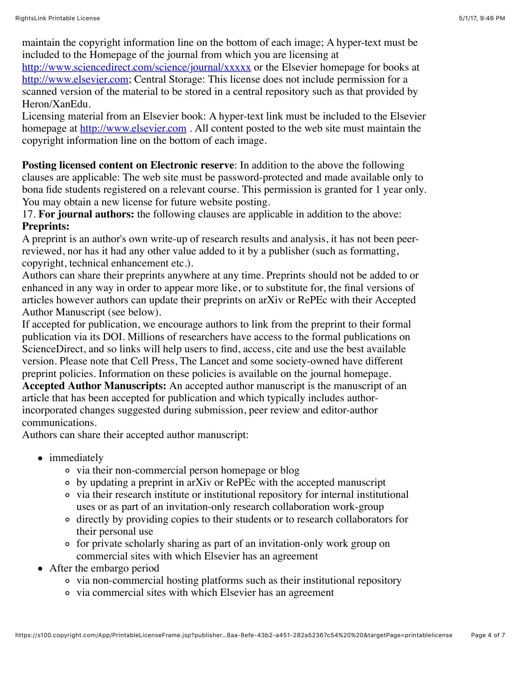maintain the copyright information line on the bottom of each image; A hyper-text must be included to the Homepage of the journal from which you are licensing at

<http://www.sciencedirect.com/science/journal/xxxxx> or the Elsevier homepage for books at [http://www.elsevier.com](http://www.elsevier.com/); Central Storage: This license does not include permission for a scanned version of the material to be stored in a central repository such as that provided by Heron/XanEdu.

Licensing material from an Elsevier book: A hyper-text link must be included to the Elsevier homepage at [http://www.elsevier.com](http://www.elsevier.com/) . All content posted to the web site must maintain the copyright information line on the bottom of each image.

**Posting licensed content on Electronic reserve**: In addition to the above the following clauses are applicable: The web site must be password-protected and made available only to bona fide students registered on a relevant course. This permission is granted for 1 year only. You may obtain a new license for future website posting.

17. **For journal authors:** the following clauses are applicable in addition to the above: **Preprints:**

A preprint is an author's own write-up of research results and analysis, it has not been peerreviewed, nor has it had any other value added to it by a publisher (such as formatting, copyright, technical enhancement etc.).

Authors can share their preprints anywhere at any time. Preprints should not be added to or enhanced in any way in order to appear more like, or to substitute for, the final versions of articles however authors can update their preprints on arXiv or RePEc with their Accepted Author Manuscript (see below).

If accepted for publication, we encourage authors to link from the preprint to their formal publication via its DOI. Millions of researchers have access to the formal publications on ScienceDirect, and so links will help users to find, access, cite and use the best available version. Please note that Cell Press, The Lancet and some society-owned have different preprint policies. Information on these policies is available on the journal homepage.

**Accepted Author Manuscripts:** An accepted author manuscript is the manuscript of an article that has been accepted for publication and which typically includes authorincorporated changes suggested during submission, peer review and editor-author communications.

Authors can share their accepted author manuscript:

- immediately
	- via their non-commercial person homepage or blog
	- by updating a preprint in arXiv or RePEc with the accepted manuscript
	- via their research institute or institutional repository for internal institutional uses or as part of an invitation-only research collaboration work-group
	- directly by providing copies to their students or to research collaborators for their personal use
	- for private scholarly sharing as part of an invitation-only work group on commercial sites with which Elsevier has an agreement
- After the embargo period
	- via non-commercial hosting platforms such as their institutional repository
	- via commercial sites with which Elsevier has an agreement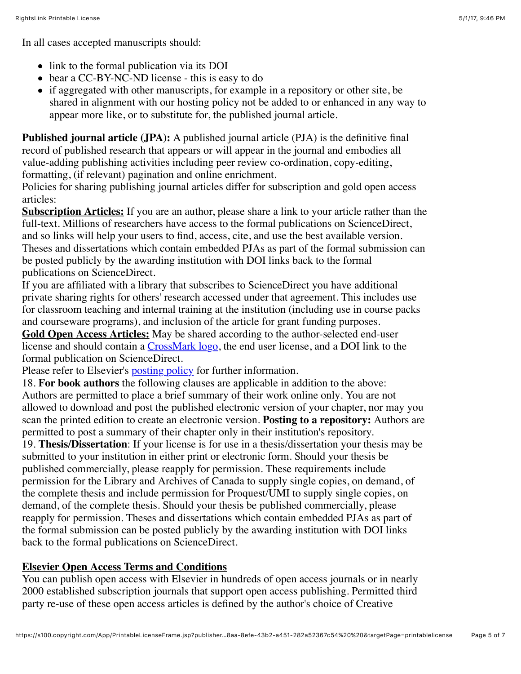In all cases accepted manuscripts should:

- link to the formal publication via its DOI
- bear a CC-BY-NC-ND license this is easy to do
- if aggregated with other manuscripts, for example in a repository or other site, be shared in alignment with our hosting policy not be added to or enhanced in any way to appear more like, or to substitute for, the published journal article.

**Published journal article (JPA):** A published journal article (PJA) is the definitive final record of published research that appears or will appear in the journal and embodies all value-adding publishing activities including peer review co-ordination, copy-editing, formatting, (if relevant) pagination and online enrichment.

Policies for sharing publishing journal articles differ for subscription and gold open access articles:

**Subscription Articles:** If you are an author, please share a link to your article rather than the full-text. Millions of researchers have access to the formal publications on ScienceDirect, and so links will help your users to find, access, cite, and use the best available version. Theses and dissertations which contain embedded PJAs as part of the formal submission can be posted publicly by the awarding institution with DOI links back to the formal publications on ScienceDirect.

If you are affiliated with a library that subscribes to ScienceDirect you have additional private sharing rights for others' research accessed under that agreement. This includes use for classroom teaching and internal training at the institution (including use in course packs and courseware programs), and inclusion of the article for grant funding purposes.

**Gold Open Access Articles:** May be shared according to the author-selected end-user license and should contain a [CrossMark logo](http://www.crossref.org/crossmark/index.html), the end user license, and a DOI link to the formal publication on ScienceDirect.

Please refer to Elsevier's [posting policy](http://www.elsevier.com/about/open-access/open-access-policies/article-posting-policy) for further information.

18. **For book authors** the following clauses are applicable in addition to the above: Authors are permitted to place a brief summary of their work online only. You are not allowed to download and post the published electronic version of your chapter, nor may you scan the printed edition to create an electronic version. **Posting to a repository:** Authors are permitted to post a summary of their chapter only in their institution's repository.

19. **Thesis/Dissertation**: If your license is for use in a thesis/dissertation your thesis may be submitted to your institution in either print or electronic form. Should your thesis be published commercially, please reapply for permission. These requirements include permission for the Library and Archives of Canada to supply single copies, on demand, of the complete thesis and include permission for Proquest/UMI to supply single copies, on demand, of the complete thesis. Should your thesis be published commercially, please reapply for permission. Theses and dissertations which contain embedded PJAs as part of the formal submission can be posted publicly by the awarding institution with DOI links back to the formal publications on ScienceDirect.

# **Elsevier Open Access Terms and Conditions**

You can publish open access with Elsevier in hundreds of open access journals or in nearly 2000 established subscription journals that support open access publishing. Permitted third party re-use of these open access articles is defined by the author's choice of Creative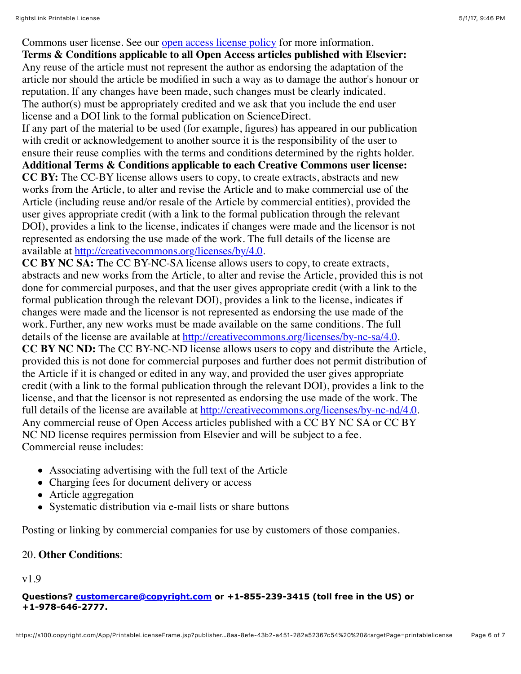Commons user license. See our [open access license policy](http://www.elsevier.com/about/open-access/open-access-policies/oa-license-policy) for more information. **Terms & Conditions applicable to all Open Access articles published with Elsevier:** Any reuse of the article must not represent the author as endorsing the adaptation of the article nor should the article be modified in such a way as to damage the author's honour or reputation. If any changes have been made, such changes must be clearly indicated. The author(s) must be appropriately credited and we ask that you include the end user license and a DOI link to the formal publication on ScienceDirect.

If any part of the material to be used (for example, figures) has appeared in our publication with credit or acknowledgement to another source it is the responsibility of the user to ensure their reuse complies with the terms and conditions determined by the rights holder. **Additional Terms & Conditions applicable to each Creative Commons user license: CC BY:** The CC-BY license allows users to copy, to create extracts, abstracts and new works from the Article, to alter and revise the Article and to make commercial use of the Article (including reuse and/or resale of the Article by commercial entities), provided the user gives appropriate credit (with a link to the formal publication through the relevant DOI), provides a link to the license, indicates if changes were made and the licensor is not represented as endorsing the use made of the work. The full details of the license are available at [http://creativecommons.org/licenses/by/4.0.](http://creativecommons.org/licenses/by/4.0)

**CC BY NC SA:** The CC BY-NC-SA license allows users to copy, to create extracts, abstracts and new works from the Article, to alter and revise the Article, provided this is not done for commercial purposes, and that the user gives appropriate credit (with a link to the formal publication through the relevant DOI), provides a link to the license, indicates if changes were made and the licensor is not represented as endorsing the use made of the work. Further, any new works must be made available on the same conditions. The full details of the license are available at [http://creativecommons.org/licenses/by-nc-sa/4.0.](http://creativecommons.org/licenses/by-nc-sa/4.0) **CC BY NC ND:** The CC BY-NC-ND license allows users to copy and distribute the Article, provided this is not done for commercial purposes and further does not permit distribution of the Article if it is changed or edited in any way, and provided the user gives appropriate credit (with a link to the formal publication through the relevant DOI), provides a link to the license, and that the licensor is not represented as endorsing the use made of the work. The full details of the license are available at [http://creativecommons.org/licenses/by-nc-nd/4.0.](http://creativecommons.org/licenses/by-nc-nd/4.0) Any commercial reuse of Open Access articles published with a CC BY NC SA or CC BY NC ND license requires permission from Elsevier and will be subject to a fee. Commercial reuse includes:

- Associating advertising with the full text of the Article
- Charging fees for document delivery or access
- Article aggregation
- Systematic distribution via e-mail lists or share buttons

Posting or linking by commercial companies for use by customers of those companies.

# 20. **Other Conditions**:

v1.9

#### **Questions? [customercare@copyright.com](mailto:customercare@copyright.com) or +1-855-239-3415 (toll free in the US) or +1-978-646-2777.**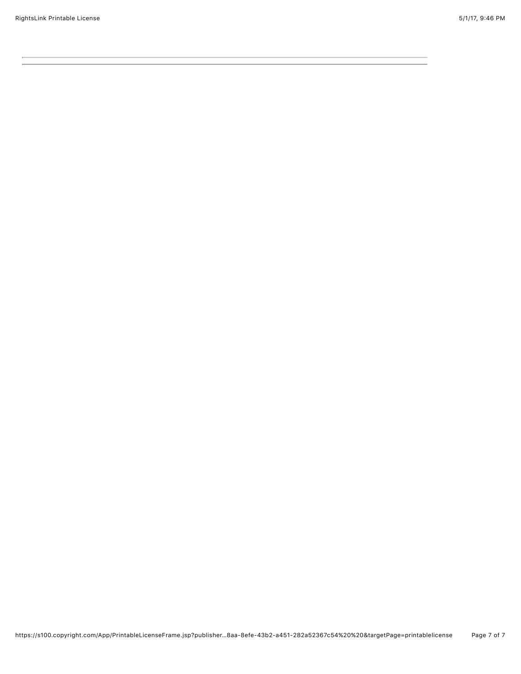RightsLink Printable License 5/1/17, 9:46 PM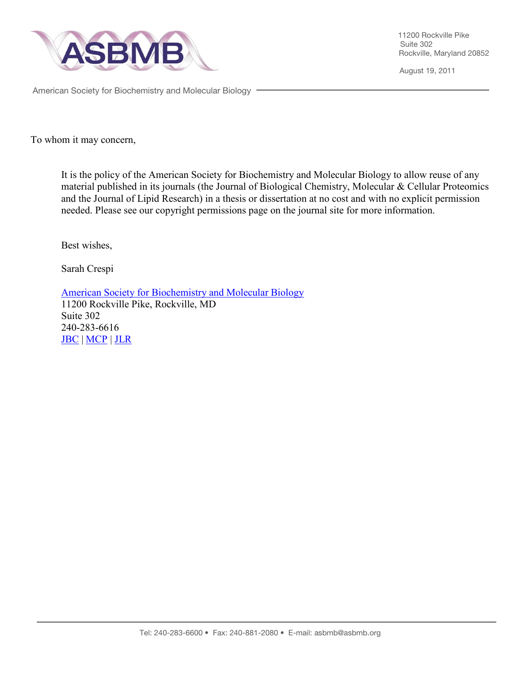

11200 Rockville Pike Suite 302 Rockville, Maryland 20852

August 19, 2011

American Society for Biochemistry and Molecular Biology

To whom it may concern,

It is the policy of the American Society for Biochemistry and Molecular Biology to allow reuse of any material published in its journals (the Journal of Biological Chemistry, Molecular & Cellular Proteomics and the Journal of Lipid Research) in a thesis or dissertation at no cost and with no explicit permission needed. Please see our copyright permissions page on the journal site for more information.

Best wishes,

Sarah Crespi

[American Society for Biochemistry and Molecular Biology](http://www.asbmb.org/) 11200 Rockville Pike, Rockville, MD Suite 302 240-283-6616 [JBC](http://www.jbc.org/) | [MCP](http://www.mcponline.org/) | [JLR](http://www.jlr.org/)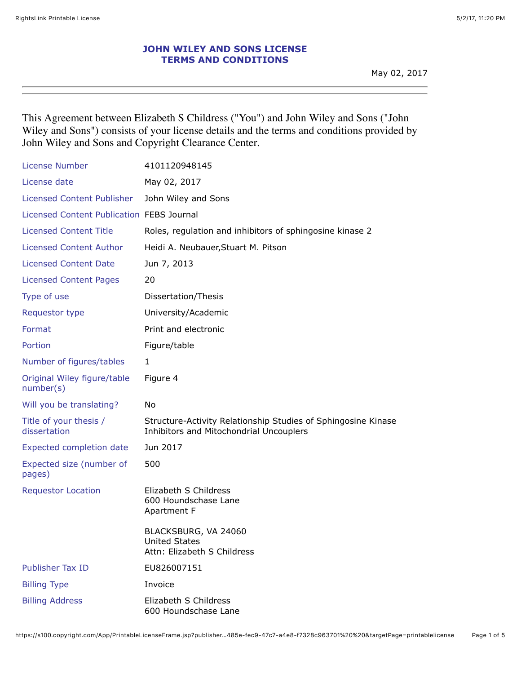#### **JOHN WILEY AND SONS LICENSE TERMS AND CONDITIONS**

May 02, 2017

This Agreement between Elizabeth S Childress ("You") and John Wiley and Sons ("John Wiley and Sons") consists of your license details and the terms and conditions provided by John Wiley and Sons and Copyright Clearance Center.

| <b>License Number</b>                     | 4101120948145                                                                                            |
|-------------------------------------------|----------------------------------------------------------------------------------------------------------|
| License date                              | May 02, 2017                                                                                             |
| Licensed Content Publisher                | John Wiley and Sons                                                                                      |
| Licensed Content Publication FEBS Journal |                                                                                                          |
| <b>Licensed Content Title</b>             | Roles, regulation and inhibitors of sphingosine kinase 2                                                 |
| <b>Licensed Content Author</b>            | Heidi A. Neubauer, Stuart M. Pitson                                                                      |
| <b>Licensed Content Date</b>              | Jun 7, 2013                                                                                              |
| <b>Licensed Content Pages</b>             | 20                                                                                                       |
| Type of use                               | Dissertation/Thesis                                                                                      |
| Requestor type                            | University/Academic                                                                                      |
| Format                                    | Print and electronic                                                                                     |
| Portion                                   | Figure/table                                                                                             |
| Number of figures/tables                  | 1                                                                                                        |
| Original Wiley figure/table<br>number(s)  | Figure 4                                                                                                 |
| Will you be translating?                  | No                                                                                                       |
| Title of your thesis /<br>dissertation    | Structure-Activity Relationship Studies of Sphingosine Kinase<br>Inhibitors and Mitochondrial Uncouplers |
| <b>Expected completion date</b>           | Jun 2017                                                                                                 |
| Expected size (number of<br>pages)        | 500                                                                                                      |
| <b>Requestor Location</b>                 | Elizabeth S Childress<br>600 Houndschase Lane<br>Apartment F                                             |
|                                           | BLACKSBURG, VA 24060<br><b>United States</b><br>Attn: Elizabeth S Childress                              |
| Publisher Tax ID                          | EU826007151                                                                                              |
| <b>Billing Type</b>                       | Invoice                                                                                                  |
| <b>Billing Address</b>                    | Elizabeth S Childress<br>600 Houndschase Lane                                                            |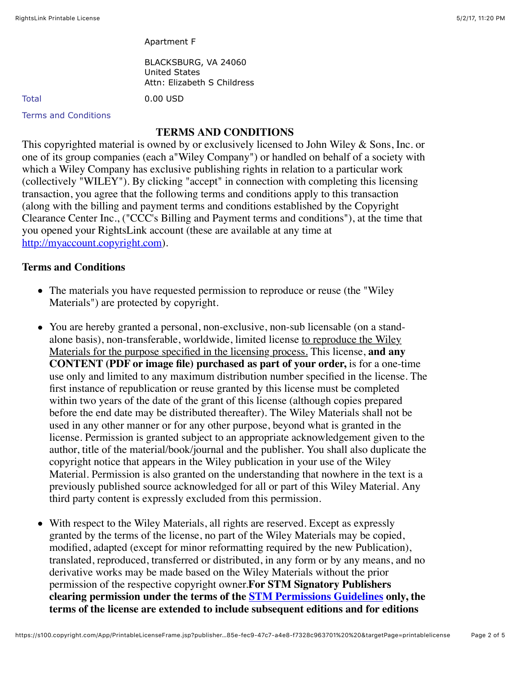Apartment F

BLACKSBURG, VA 24060 United States Attn: Elizabeth S Childress

Total 0.00 USD

Terms and Conditions

#### **TERMS AND CONDITIONS**

This copyrighted material is owned by or exclusively licensed to John Wiley & Sons, Inc. or one of its group companies (each a"Wiley Company") or handled on behalf of a society with which a Wiley Company has exclusive publishing rights in relation to a particular work (collectively "WILEY"). By clicking "accept" in connection with completing this licensing transaction, you agree that the following terms and conditions apply to this transaction (along with the billing and payment terms and conditions established by the Copyright Clearance Center Inc., ("CCC's Billing and Payment terms and conditions"), at the time that you opened your RightsLink account (these are available at any time at [http://myaccount.copyright.com](http://myaccount.copyright.com/)).

# **Terms and Conditions**

- The materials you have requested permission to reproduce or reuse (the "Wiley" Materials") are protected by copyright.
- You are hereby granted a personal, non-exclusive, non-sub licensable (on a standalone basis), non-transferable, worldwide, limited license to reproduce the Wiley Materials for the purpose specified in the licensing process. This license, **and any CONTENT (PDF or image file) purchased as part of your order,** is for a one-time use only and limited to any maximum distribution number specified in the license. The first instance of republication or reuse granted by this license must be completed within two years of the date of the grant of this license (although copies prepared before the end date may be distributed thereafter). The Wiley Materials shall not be used in any other manner or for any other purpose, beyond what is granted in the license. Permission is granted subject to an appropriate acknowledgement given to the author, title of the material/book/journal and the publisher. You shall also duplicate the copyright notice that appears in the Wiley publication in your use of the Wiley Material. Permission is also granted on the understanding that nowhere in the text is a previously published source acknowledged for all or part of this Wiley Material. Any third party content is expressly excluded from this permission.
- With respect to the Wiley Materials, all rights are reserved. Except as expressly granted by the terms of the license, no part of the Wiley Materials may be copied, modified, adapted (except for minor reformatting required by the new Publication), translated, reproduced, transferred or distributed, in any form or by any means, and no derivative works may be made based on the Wiley Materials without the prior permission of the respective copyright owner.**For STM Signatory Publishers clearing permission under the terms of the [STM Permissions Guidelines](http://www.stm-assoc.org/copyright-legal-affairs/permissions/permissions-guidelines/) only, the terms of the license are extended to include subsequent editions and for editions**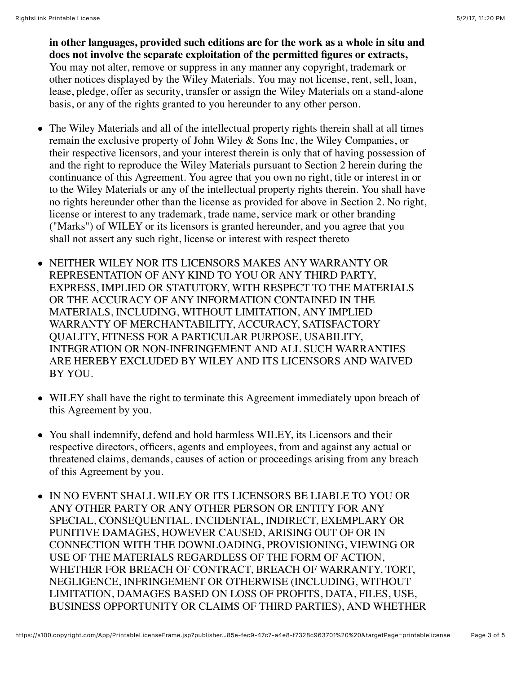**in other languages, provided such editions are for the work as a whole in situ and does not involve the separate exploitation of the permitted figures or extracts,** You may not alter, remove or suppress in any manner any copyright, trademark or other notices displayed by the Wiley Materials. You may not license, rent, sell, loan, lease, pledge, offer as security, transfer or assign the Wiley Materials on a stand-alone basis, or any of the rights granted to you hereunder to any other person.

- The Wiley Materials and all of the intellectual property rights therein shall at all times  $\bullet$ remain the exclusive property of John Wiley & Sons Inc, the Wiley Companies, or their respective licensors, and your interest therein is only that of having possession of and the right to reproduce the Wiley Materials pursuant to Section 2 herein during the continuance of this Agreement. You agree that you own no right, title or interest in or to the Wiley Materials or any of the intellectual property rights therein. You shall have no rights hereunder other than the license as provided for above in Section 2. No right, license or interest to any trademark, trade name, service mark or other branding ("Marks") of WILEY or its licensors is granted hereunder, and you agree that you shall not assert any such right, license or interest with respect thereto
- NEITHER WILEY NOR ITS LICENSORS MAKES ANY WARRANTY OR REPRESENTATION OF ANY KIND TO YOU OR ANY THIRD PARTY, EXPRESS, IMPLIED OR STATUTORY, WITH RESPECT TO THE MATERIALS OR THE ACCURACY OF ANY INFORMATION CONTAINED IN THE MATERIALS, INCLUDING, WITHOUT LIMITATION, ANY IMPLIED WARRANTY OF MERCHANTABILITY, ACCURACY, SATISFACTORY QUALITY, FITNESS FOR A PARTICULAR PURPOSE, USABILITY, INTEGRATION OR NON-INFRINGEMENT AND ALL SUCH WARRANTIES ARE HEREBY EXCLUDED BY WILEY AND ITS LICENSORS AND WAIVED BY YOU.
- WILEY shall have the right to terminate this Agreement immediately upon breach of this Agreement by you.
- You shall indemnify, defend and hold harmless WILEY, its Licensors and their respective directors, officers, agents and employees, from and against any actual or threatened claims, demands, causes of action or proceedings arising from any breach of this Agreement by you.
- IN NO EVENT SHALL WILEY OR ITS LICENSORS BE LIABLE TO YOU OR  $\bullet$ ANY OTHER PARTY OR ANY OTHER PERSON OR ENTITY FOR ANY SPECIAL, CONSEQUENTIAL, INCIDENTAL, INDIRECT, EXEMPLARY OR PUNITIVE DAMAGES, HOWEVER CAUSED, ARISING OUT OF OR IN CONNECTION WITH THE DOWNLOADING, PROVISIONING, VIEWING OR USE OF THE MATERIALS REGARDLESS OF THE FORM OF ACTION, WHETHER FOR BREACH OF CONTRACT, BREACH OF WARRANTY, TORT, NEGLIGENCE, INFRINGEMENT OR OTHERWISE (INCLUDING, WITHOUT LIMITATION, DAMAGES BASED ON LOSS OF PROFITS, DATA, FILES, USE, BUSINESS OPPORTUNITY OR CLAIMS OF THIRD PARTIES), AND WHETHER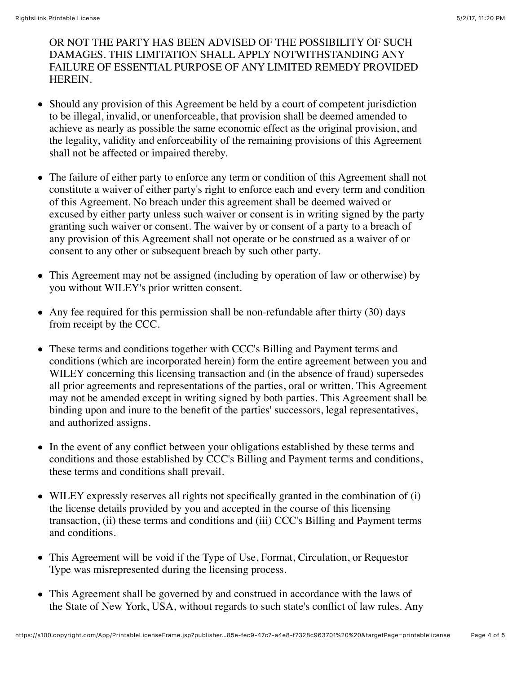# OR NOT THE PARTY HAS BEEN ADVISED OF THE POSSIBILITY OF SUCH DAMAGES. THIS LIMITATION SHALL APPLY NOTWITHSTANDING ANY FAILURE OF ESSENTIAL PURPOSE OF ANY LIMITED REMEDY PROVIDED HEREIN.

- Should any provision of this Agreement be held by a court of competent jurisdiction  $\bullet$ to be illegal, invalid, or unenforceable, that provision shall be deemed amended to achieve as nearly as possible the same economic effect as the original provision, and the legality, validity and enforceability of the remaining provisions of this Agreement shall not be affected or impaired thereby.
- The failure of either party to enforce any term or condition of this Agreement shall not  $\bullet$ constitute a waiver of either party's right to enforce each and every term and condition of this Agreement. No breach under this agreement shall be deemed waived or excused by either party unless such waiver or consent is in writing signed by the party granting such waiver or consent. The waiver by or consent of a party to a breach of any provision of this Agreement shall not operate or be construed as a waiver of or consent to any other or subsequent breach by such other party.
- This Agreement may not be assigned (including by operation of law or otherwise) by  $\bullet$ you without WILEY's prior written consent.
- Any fee required for this permission shall be non-refundable after thirty (30) days from receipt by the CCC.
- These terms and conditions together with CCC's Billing and Payment terms and  $\bullet$ conditions (which are incorporated herein) form the entire agreement between you and WILEY concerning this licensing transaction and (in the absence of fraud) supersedes all prior agreements and representations of the parties, oral or written. This Agreement may not be amended except in writing signed by both parties. This Agreement shall be binding upon and inure to the benefit of the parties' successors, legal representatives, and authorized assigns.
- In the event of any conflict between your obligations established by these terms and  $\bullet$ conditions and those established by CCC's Billing and Payment terms and conditions, these terms and conditions shall prevail.
- WILEY expressly reserves all rights not specifically granted in the combination of (i) the license details provided by you and accepted in the course of this licensing transaction, (ii) these terms and conditions and (iii) CCC's Billing and Payment terms and conditions.
- This Agreement will be void if the Type of Use, Format, Circulation, or Requestor Type was misrepresented during the licensing process.
- This Agreement shall be governed by and construed in accordance with the laws of the State of New York, USA, without regards to such state's conflict of law rules. Any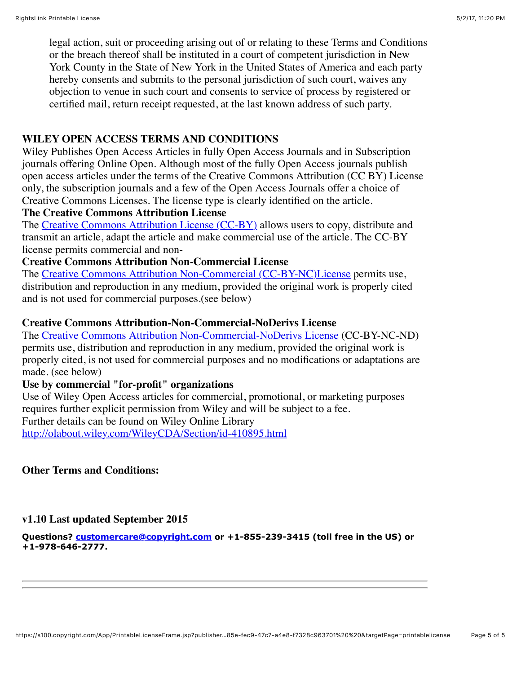legal action, suit or proceeding arising out of or relating to these Terms and Conditions or the breach thereof shall be instituted in a court of competent jurisdiction in New York County in the State of New York in the United States of America and each party hereby consents and submits to the personal jurisdiction of such court, waives any objection to venue in such court and consents to service of process by registered or certified mail, return receipt requested, at the last known address of such party.

# **WILEY OPEN ACCESS TERMS AND CONDITIONS**

Wiley Publishes Open Access Articles in fully Open Access Journals and in Subscription journals offering Online Open. Although most of the fully Open Access journals publish open access articles under the terms of the Creative Commons Attribution (CC BY) License only, the subscription journals and a few of the Open Access Journals offer a choice of Creative Commons Licenses. The license type is clearly identified on the article.

# **The Creative Commons Attribution License**

The [Creative Commons Attribution License \(CC-BY\)](http://creativecommons.org/licenses/by/3.0/) allows users to copy, distribute and transmit an article, adapt the article and make commercial use of the article. The CC-BY license permits commercial and non-

# **Creative Commons Attribution Non-Commercial License**

The [Creative Commons Attribution Non-Commercial \(CC-BY-NC\)License](http://creativecommons.org/licenses/by-nc/3.0/) permits use, distribution and reproduction in any medium, provided the original work is properly cited and is not used for commercial purposes.(see below)

# **Creative Commons Attribution-Non-Commercial-NoDerivs License**

The [Creative Commons Attribution Non-Commercial-NoDerivs License](http://creativecommons.org/licenses/by-nc-nd/3.0/) (CC-BY-NC-ND) permits use, distribution and reproduction in any medium, provided the original work is properly cited, is not used for commercial purposes and no modifications or adaptations are made. (see below)

# **Use by commercial "for-profit" organizations**

Use of Wiley Open Access articles for commercial, promotional, or marketing purposes requires further explicit permission from Wiley and will be subject to a fee. Further details can be found on Wiley Online Library <http://olabout.wiley.com/WileyCDA/Section/id-410895.html>

**Other Terms and Conditions:**

# **v1.10 Last updated September 2015**

**Questions? [customercare@copyright.com](mailto:customercare@copyright.com) or +1-855-239-3415 (toll free in the US) or +1-978-646-2777.**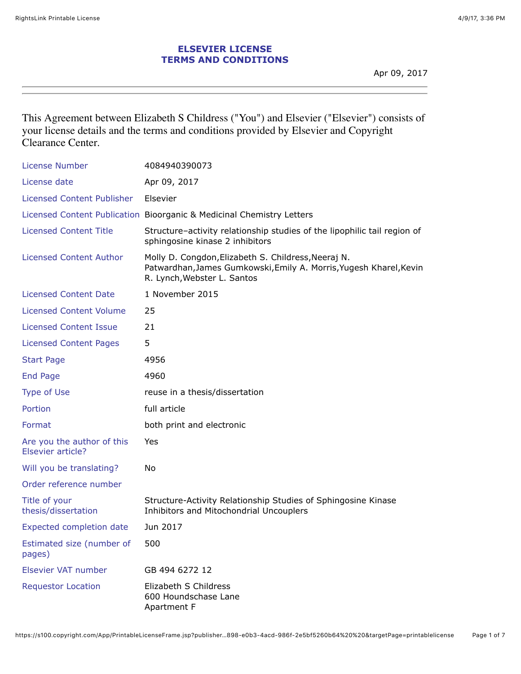#### **ELSEVIER LICENSE TERMS AND CONDITIONS**

Apr 09, 2017

This Agreement between Elizabeth S Childress ("You") and Elsevier ("Elsevier") consists of your license details and the terms and conditions provided by Elsevier and Copyright Clearance Center.

| License Number                                  | 4084940390073                                                                                                                                            |
|-------------------------------------------------|----------------------------------------------------------------------------------------------------------------------------------------------------------|
| License date                                    | Apr 09, 2017                                                                                                                                             |
| Licensed Content Publisher                      | Elsevier                                                                                                                                                 |
|                                                 | Licensed Content Publication Bioorganic & Medicinal Chemistry Letters                                                                                    |
| <b>Licensed Content Title</b>                   | Structure-activity relationship studies of the lipophilic tail region of<br>sphingosine kinase 2 inhibitors                                              |
| Licensed Content Author                         | Molly D. Congdon, Elizabeth S. Childress, Neeraj N.<br>Patwardhan, James Gumkowski, Emily A. Morris, Yugesh Kharel, Kevin<br>R. Lynch, Webster L. Santos |
| <b>Licensed Content Date</b>                    | 1 November 2015                                                                                                                                          |
| <b>Licensed Content Volume</b>                  | 25                                                                                                                                                       |
| <b>Licensed Content Issue</b>                   | 21                                                                                                                                                       |
| <b>Licensed Content Pages</b>                   | 5                                                                                                                                                        |
| <b>Start Page</b>                               | 4956                                                                                                                                                     |
| <b>End Page</b>                                 | 4960                                                                                                                                                     |
| <b>Type of Use</b>                              | reuse in a thesis/dissertation                                                                                                                           |
| Portion                                         | full article                                                                                                                                             |
| Format                                          | both print and electronic                                                                                                                                |
| Are you the author of this<br>Elsevier article? | Yes                                                                                                                                                      |
| Will you be translating?                        | No                                                                                                                                                       |
| Order reference number                          |                                                                                                                                                          |
| Title of your<br>thesis/dissertation            | Structure-Activity Relationship Studies of Sphingosine Kinase<br>Inhibitors and Mitochondrial Uncouplers                                                 |
| Expected completion date                        | Jun 2017                                                                                                                                                 |
| Estimated size (number of 500<br>pages)         |                                                                                                                                                          |
| Elsevier VAT number                             | GB 494 6272 12                                                                                                                                           |
| <b>Requestor Location</b>                       | Elizabeth S Childress<br>600 Houndschase Lane<br>Apartment F                                                                                             |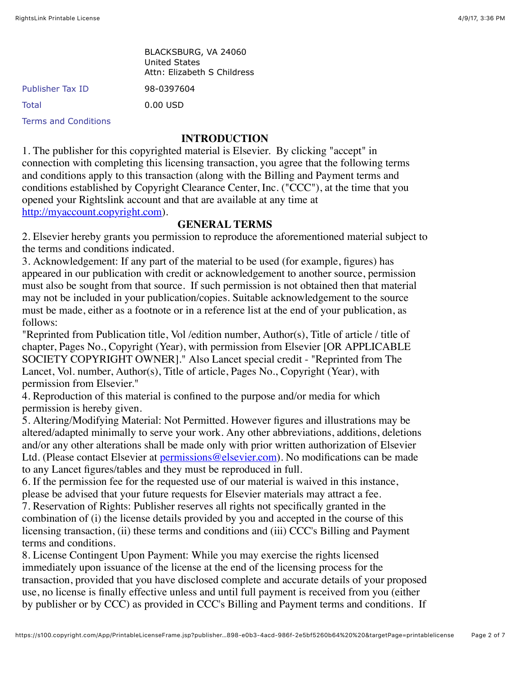|                      | BLACKSBURG, VA 24060<br>United States<br>Attn: Elizabeth S Childress |
|----------------------|----------------------------------------------------------------------|
| Publisher Tax ID     | 98-0397604                                                           |
| Total                | 0.00 USD                                                             |
| Towns and Conditions |                                                                      |

Terms and Conditions

# **INTRODUCTION**

1. The publisher for this copyrighted material is Elsevier. By clicking "accept" in connection with completing this licensing transaction, you agree that the following terms and conditions apply to this transaction (along with the Billing and Payment terms and conditions established by Copyright Clearance Center, Inc. ("CCC"), at the time that you opened your Rightslink account and that are available at any time at [http://myaccount.copyright.com](http://myaccount.copyright.com/)).

# **GENERAL TERMS**

2. Elsevier hereby grants you permission to reproduce the aforementioned material subject to the terms and conditions indicated.

3. Acknowledgement: If any part of the material to be used (for example, figures) has appeared in our publication with credit or acknowledgement to another source, permission must also be sought from that source. If such permission is not obtained then that material may not be included in your publication/copies. Suitable acknowledgement to the source must be made, either as a footnote or in a reference list at the end of your publication, as follows:

"Reprinted from Publication title, Vol /edition number, Author(s), Title of article / title of chapter, Pages No., Copyright (Year), with permission from Elsevier [OR APPLICABLE SOCIETY COPYRIGHT OWNER]." Also Lancet special credit - "Reprinted from The Lancet, Vol. number, Author(s), Title of article, Pages No., Copyright (Year), with permission from Elsevier."

4. Reproduction of this material is confined to the purpose and/or media for which permission is hereby given.

5. Altering/Modifying Material: Not Permitted. However figures and illustrations may be altered/adapted minimally to serve your work. Any other abbreviations, additions, deletions and/or any other alterations shall be made only with prior written authorization of Elsevier Ltd. (Please contact Elsevier at [permissions@elsevier.com](mailto:permissions@elsevier.com)). No modifications can be made to any Lancet figures/tables and they must be reproduced in full.

6. If the permission fee for the requested use of our material is waived in this instance, please be advised that your future requests for Elsevier materials may attract a fee.

7. Reservation of Rights: Publisher reserves all rights not specifically granted in the combination of (i) the license details provided by you and accepted in the course of this licensing transaction, (ii) these terms and conditions and (iii) CCC's Billing and Payment terms and conditions.

8. License Contingent Upon Payment: While you may exercise the rights licensed immediately upon issuance of the license at the end of the licensing process for the transaction, provided that you have disclosed complete and accurate details of your proposed use, no license is finally effective unless and until full payment is received from you (either by publisher or by CCC) as provided in CCC's Billing and Payment terms and conditions. If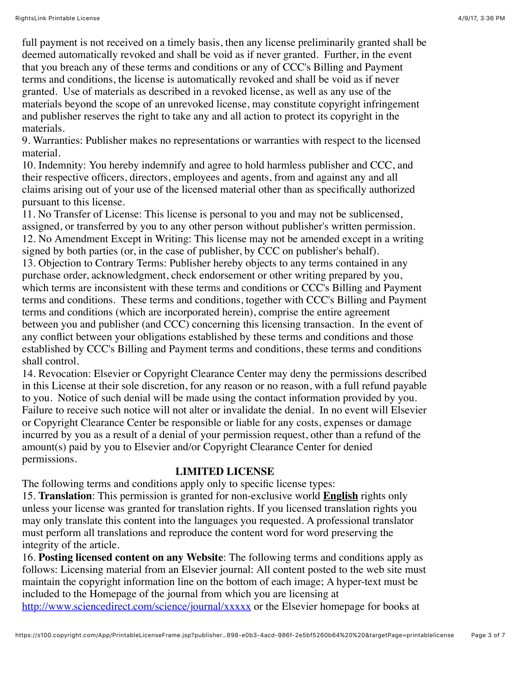full payment is not received on a timely basis, then any license preliminarily granted shall be deemed automatically revoked and shall be void as if never granted. Further, in the event that you breach any of these terms and conditions or any of CCC's Billing and Payment terms and conditions, the license is automatically revoked and shall be void as if never granted. Use of materials as described in a revoked license, as well as any use of the materials beyond the scope of an unrevoked license, may constitute copyright infringement and publisher reserves the right to take any and all action to protect its copyright in the materials.

9. Warranties: Publisher makes no representations or warranties with respect to the licensed material.

10. Indemnity: You hereby indemnify and agree to hold harmless publisher and CCC, and their respective officers, directors, employees and agents, from and against any and all claims arising out of your use of the licensed material other than as specifically authorized pursuant to this license.

11. No Transfer of License: This license is personal to you and may not be sublicensed, assigned, or transferred by you to any other person without publisher's written permission. 12. No Amendment Except in Writing: This license may not be amended except in a writing signed by both parties (or, in the case of publisher, by CCC on publisher's behalf). 13. Objection to Contrary Terms: Publisher hereby objects to any terms contained in any purchase order, acknowledgment, check endorsement or other writing prepared by you, which terms are inconsistent with these terms and conditions or CCC's Billing and Payment terms and conditions. These terms and conditions, together with CCC's Billing and Payment terms and conditions (which are incorporated herein), comprise the entire agreement between you and publisher (and CCC) concerning this licensing transaction. In the event of any conflict between your obligations established by these terms and conditions and those established by CCC's Billing and Payment terms and conditions, these terms and conditions shall control.

14. Revocation: Elsevier or Copyright Clearance Center may deny the permissions described in this License at their sole discretion, for any reason or no reason, with a full refund payable to you. Notice of such denial will be made using the contact information provided by you. Failure to receive such notice will not alter or invalidate the denial. In no event will Elsevier or Copyright Clearance Center be responsible or liable for any costs, expenses or damage incurred by you as a result of a denial of your permission request, other than a refund of the amount(s) paid by you to Elsevier and/or Copyright Clearance Center for denied permissions.

# **LIMITED LICENSE**

The following terms and conditions apply only to specific license types:

15. **Translation**: This permission is granted for non-exclusive world **English** rights only unless your license was granted for translation rights. If you licensed translation rights you may only translate this content into the languages you requested. A professional translator must perform all translations and reproduce the content word for word preserving the integrity of the article.

16. **Posting licensed content on any Website**: The following terms and conditions apply as follows: Licensing material from an Elsevier journal: All content posted to the web site must maintain the copyright information line on the bottom of each image; A hyper-text must be included to the Homepage of the journal from which you are licensing at <http://www.sciencedirect.com/science/journal/xxxxx>or the Elsevier homepage for books at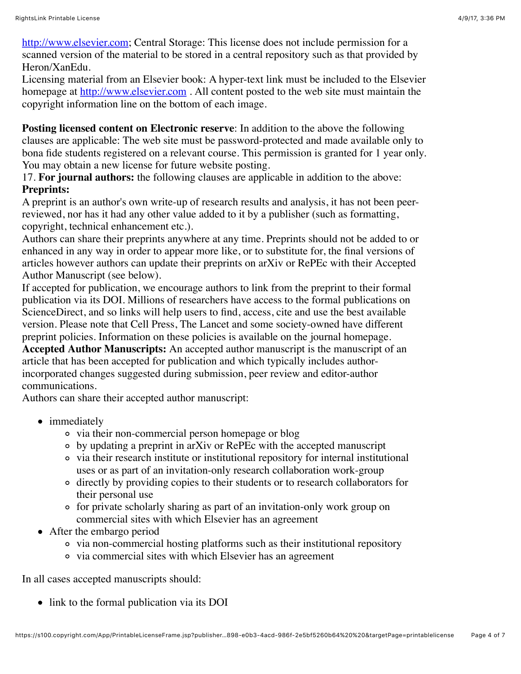[http://www.elsevier.com](http://www.elsevier.com/); Central Storage: This license does not include permission for a scanned version of the material to be stored in a central repository such as that provided by Heron/XanEdu.

Licensing material from an Elsevier book: A hyper-text link must be included to the Elsevier homepage at [http://www.elsevier.com](http://www.elsevier.com/) . All content posted to the web site must maintain the copyright information line on the bottom of each image.

**Posting licensed content on Electronic reserve**: In addition to the above the following clauses are applicable: The web site must be password-protected and made available only to bona fide students registered on a relevant course. This permission is granted for 1 year only. You may obtain a new license for future website posting.

17. **For journal authors:** the following clauses are applicable in addition to the above: **Preprints:**

A preprint is an author's own write-up of research results and analysis, it has not been peerreviewed, nor has it had any other value added to it by a publisher (such as formatting, copyright, technical enhancement etc.).

Authors can share their preprints anywhere at any time. Preprints should not be added to or enhanced in any way in order to appear more like, or to substitute for, the final versions of articles however authors can update their preprints on arXiv or RePEc with their Accepted Author Manuscript (see below).

If accepted for publication, we encourage authors to link from the preprint to their formal publication via its DOI. Millions of researchers have access to the formal publications on ScienceDirect, and so links will help users to find, access, cite and use the best available version. Please note that Cell Press, The Lancet and some society-owned have different preprint policies. Information on these policies is available on the journal homepage. **Accepted Author Manuscripts:** An accepted author manuscript is the manuscript of an article that has been accepted for publication and which typically includes authorincorporated changes suggested during submission, peer review and editor-author

communications.

Authors can share their accepted author manuscript:

- immediately
	- via their non-commercial person homepage or blog
	- by updating a preprint in arXiv or RePEc with the accepted manuscript
	- via their research institute or institutional repository for internal institutional uses or as part of an invitation-only research collaboration work-group
	- directly by providing copies to their students or to research collaborators for their personal use
	- for private scholarly sharing as part of an invitation-only work group on commercial sites with which Elsevier has an agreement
- After the embargo period
	- via non-commercial hosting platforms such as their institutional repository
	- via commercial sites with which Elsevier has an agreement

In all cases accepted manuscripts should:

• link to the formal publication via its DOI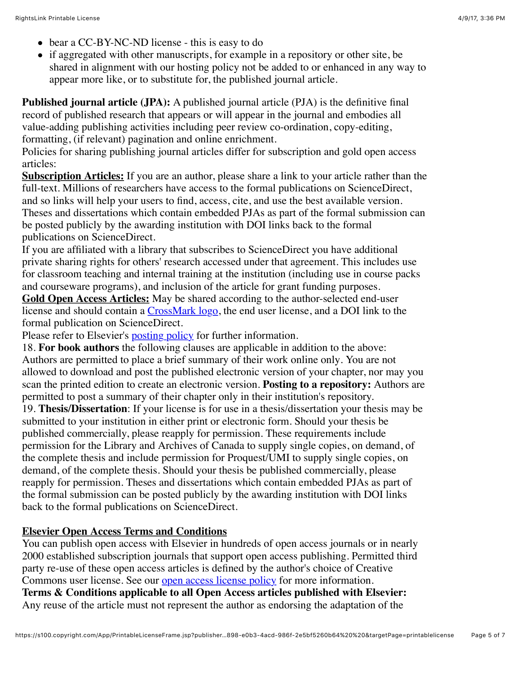- bear a CC-BY-NC-ND license this is easy to do
- if aggregated with other manuscripts, for example in a repository or other site, be shared in alignment with our hosting policy not be added to or enhanced in any way to appear more like, or to substitute for, the published journal article.

**Published journal article (JPA):** A published journal article (PJA) is the definitive final record of published research that appears or will appear in the journal and embodies all value-adding publishing activities including peer review co-ordination, copy-editing, formatting, (if relevant) pagination and online enrichment.

Policies for sharing publishing journal articles differ for subscription and gold open access articles:

**Subscription Articles:** If you are an author, please share a link to your article rather than the full-text. Millions of researchers have access to the formal publications on ScienceDirect, and so links will help your users to find, access, cite, and use the best available version. Theses and dissertations which contain embedded PJAs as part of the formal submission can be posted publicly by the awarding institution with DOI links back to the formal publications on ScienceDirect.

If you are affiliated with a library that subscribes to ScienceDirect you have additional private sharing rights for others' research accessed under that agreement. This includes use for classroom teaching and internal training at the institution (including use in course packs and courseware programs), and inclusion of the article for grant funding purposes.

**Gold Open Access Articles:** May be shared according to the author-selected end-user license and should contain a [CrossMark logo](http://www.crossref.org/crossmark/index.html), the end user license, and a DOI link to the formal publication on ScienceDirect.

Please refer to Elsevier's **posting policy** for further information.

18. **For book authors** the following clauses are applicable in addition to the above: Authors are permitted to place a brief summary of their work online only. You are not allowed to download and post the published electronic version of your chapter, nor may you scan the printed edition to create an electronic version. **Posting to a repository:** Authors are permitted to post a summary of their chapter only in their institution's repository.

19. **Thesis/Dissertation**: If your license is for use in a thesis/dissertation your thesis may be submitted to your institution in either print or electronic form. Should your thesis be published commercially, please reapply for permission. These requirements include permission for the Library and Archives of Canada to supply single copies, on demand, of the complete thesis and include permission for Proquest/UMI to supply single copies, on demand, of the complete thesis. Should your thesis be published commercially, please reapply for permission. Theses and dissertations which contain embedded PJAs as part of the formal submission can be posted publicly by the awarding institution with DOI links back to the formal publications on ScienceDirect.

# **Elsevier Open Access Terms and Conditions**

You can publish open access with Elsevier in hundreds of open access journals or in nearly 2000 established subscription journals that support open access publishing. Permitted third party re-use of these open access articles is defined by the author's choice of Creative Commons user license. See our <u>open access license policy</u> for more information. **Terms & Conditions applicable to all Open Access articles published with Elsevier:** Any reuse of the article must not represent the author as endorsing the adaptation of the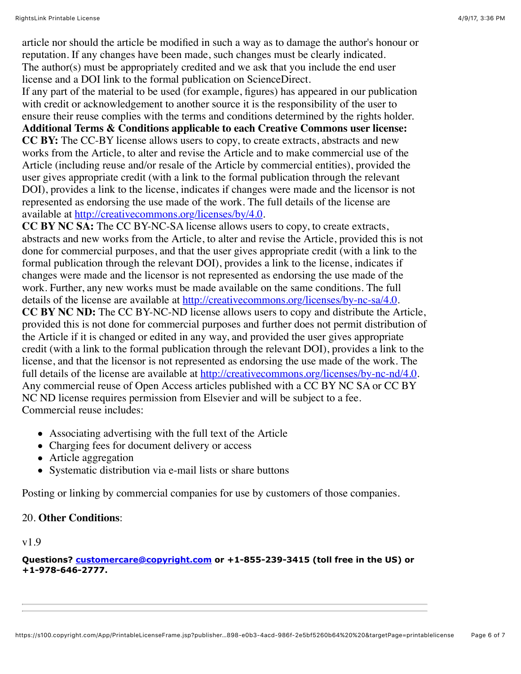article nor should the article be modified in such a way as to damage the author's honour or reputation. If any changes have been made, such changes must be clearly indicated. The author(s) must be appropriately credited and we ask that you include the end user license and a DOI link to the formal publication on ScienceDirect.

If any part of the material to be used (for example, figures) has appeared in our publication with credit or acknowledgement to another source it is the responsibility of the user to ensure their reuse complies with the terms and conditions determined by the rights holder.

**Additional Terms & Conditions applicable to each Creative Commons user license: CC BY:** The CC-BY license allows users to copy, to create extracts, abstracts and new works from the Article, to alter and revise the Article and to make commercial use of the Article (including reuse and/or resale of the Article by commercial entities), provided the user gives appropriate credit (with a link to the formal publication through the relevant DOI), provides a link to the license, indicates if changes were made and the licensor is not represented as endorsing the use made of the work. The full details of the license are available at <http://creativecommons.org/licenses/by/4.0>.

**CC BY NC SA:** The CC BY-NC-SA license allows users to copy, to create extracts, abstracts and new works from the Article, to alter and revise the Article, provided this is not done for commercial purposes, and that the user gives appropriate credit (with a link to the formal publication through the relevant DOI), provides a link to the license, indicates if changes were made and the licensor is not represented as endorsing the use made of the work. Further, any new works must be made available on the same conditions. The full details of the license are available at [http://creativecommons.org/licenses/by-nc-sa/4.0.](http://creativecommons.org/licenses/by-nc-sa/4.0)

**CC BY NC ND:** The CC BY-NC-ND license allows users to copy and distribute the Article, provided this is not done for commercial purposes and further does not permit distribution of the Article if it is changed or edited in any way, and provided the user gives appropriate credit (with a link to the formal publication through the relevant DOI), provides a link to the license, and that the licensor is not represented as endorsing the use made of the work. The full details of the license are available at [http://creativecommons.org/licenses/by-nc-nd/4.0.](http://creativecommons.org/licenses/by-nc-nd/4.0) Any commercial reuse of Open Access articles published with a CC BY NC SA or CC BY NC ND license requires permission from Elsevier and will be subject to a fee. Commercial reuse includes:

- Associating advertising with the full text of the Article
- Charging fees for document delivery or access
- Article aggregation
- Systematic distribution via e-mail lists or share buttons

Posting or linking by commercial companies for use by customers of those companies.

# 20. **Other Conditions**:

# v1.9

**Questions? [customercare@copyright.com](mailto:customercare@copyright.com) or +1-855-239-3415 (toll free in the US) or +1-978-646-2777.**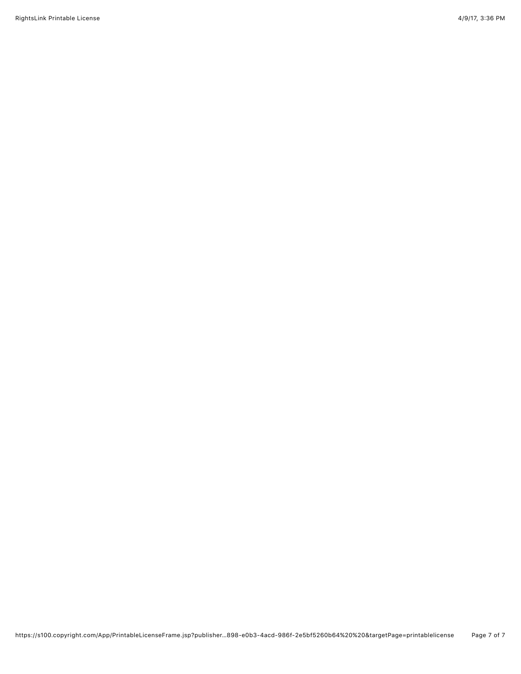RightsLink Printable License 4/9/17, 3)36 PM